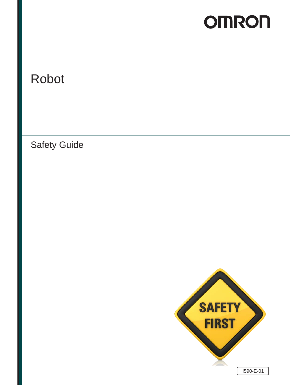# **OMRON**

# Robot

Safety Guide

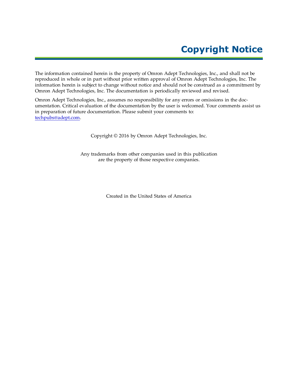### **Copyright Notice**

The information contained herein is the property of Omron Adept Technologies, Inc., and shall not be reproduced in whole or in part without prior written approval of Omron Adept Technologies, Inc. The information herein is subject to change without notice and should not be construed as a commitment by Omron Adept Technologies, Inc. The documentation is periodically reviewed and revised.

Omron Adept Technologies, Inc., assumes no responsibility for any errors or omissions in the documentation. Critical evaluation of the documentation by the user is welcomed. Your comments assist us in preparation of future documentation. Please submit your comments to: [techpubs@adept.com.](mailto:techpubs@adept.com)

Copyright © 2016 by Omron Adept Technologies, Inc.

Any trademarks from other companies used in this publication are the property of those respective companies.

Created in the United States of America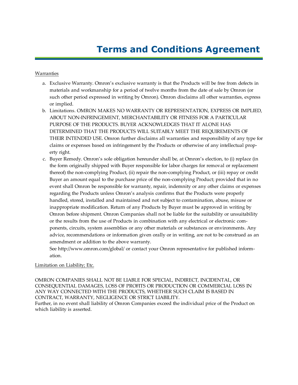### **Terms and Conditions Agreement**

#### Warranties

- a. Exclusive Warranty. Omron's exclusive warranty is that the Products will be free from defects in materials and workmanship for a period of twelve months from the date of sale by Omron (or such other period expressed in writing by Omron). Omron disclaims all other warranties, express or implied.
- b. Limitations. OMRON MAKES NO WARRANTY OR REPRESENTATION, EXPRESS OR IMPLIED, ABOUT NON-INFRINGEMENT, MERCHANTABILITY OR FITNESS FOR A PARTICULAR PURPOSE OF THE PRODUCTS. BUYER ACKNOWLEDGES THAT IT ALONE HAS DETERMINED THAT THE PRODUCTS WILL SUITABLY MEET THE REQUIREMENTS OF THEIR INTENDED USE. Omron further disclaims all warranties and responsibility of any type for claims or expenses based on infringement by the Products or otherwise of any intellectual property right.
- c. Buyer Remedy. Omron's sole obligation hereunder shall be, at Omron's election, to (i) replace (in the form originally shipped with Buyer responsible for labor charges for removal or replacement thereof) the non-complying Product, (ii) repair the non-complying Product, or (iii) repay or credit Buyer an amount equal to the purchase price of the non-complying Product; provided that in no event shall Omron be responsible for warranty, repair, indemnity or any other claims or expenses regarding the Products unless Omron's analysis confirms that the Products were properly handled, stored, installed and maintained and not subject to contamination, abuse, misuse or inappropriate modification. Return of any Products by Buyer must be approved in writing by Omron before shipment. Omron Companies shall not be liable for the suitability or unsuitability or the results from the use of Products in combination with any electrical or electronic components, circuits, system assemblies or any other materials or substances or environments. Any advice, recommendations or information given orally or in writing, are not to be construed as an amendment or addition to the above warranty.

See http://www.omron.com/global/ or contact your Omron representative for published information.

#### Limitation on Liability; Etc.

OMRON COMPANIES SHALL NOT BE LIABLE FOR SPECIAL, INDIRECT, INCIDENTAL, OR CONSEQUENTIAL DAMAGES, LOSS OF PROFITS OR PRODUCTION OR COMMERCIAL LOSS IN ANY WAY CONNECTED WITH THE PRODUCTS, WHETHER SUCH CLAIM IS BASED IN CONTRACT, WARRANTY, NEGLIGENCE OR STRICT LIABILITY. Further, in no event shall liability of Omron Companies exceed the individual price of the Product on which liability is asserted.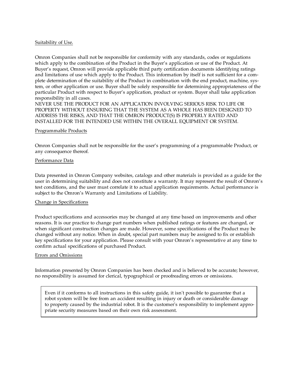#### Suitability of Use.

Omron Companies shall not be responsible for conformity with any standards, codes or regulations which apply to the combination of the Product in the Buyer's application or use of the Product. At Buyer's request, Omron will provide applicable third party certification documents identifying ratings and limitations of use which apply to the Product. This information by itself is not sufficient for a complete determination of the suitability of the Product in combination with the end product, machine, system, or other application or use. Buyer shall be solely responsible for determining appropriateness of the particular Product with respect to Buyer's application, product or system. Buyer shall take application responsibility in all cases.

NEVER USE THE PRODUCT FOR AN APPLICATION INVOLVING SERIOUS RISK TO LIFE OR PROPERTY WITHOUT ENSURING THAT THE SYSTEM AS A WHOLE HAS BEEN DESIGNED TO ADDRESS THE RISKS, AND THAT THE OMRON PRODUCT(S) IS PROPERLY RATED AND INSTALLED FOR THE INTENDED USE WITHIN THE OVERALL EQUIPMENT OR SYSTEM.

#### Programmable Products

Omron Companies shall not be responsible for the user's programming of a programmable Product, or any consequence thereof.

#### Performance Data

Data presented in Omron Company websites, catalogs and other materials is provided as a guide for the user in determining suitability and does not constitute a warranty. It may represent the result of Omron's test conditions, and the user must correlate it to actual application requirements. Actual performance is subject to the Omron's Warranty and Limitations of Liability.

#### Change in Specifications

Product specifications and accessories may be changed at any time based on improvements and other reasons. It is our practice to change part numbers when published ratings or features are changed, or when significant construction changes are made. However, some specifications of the Product may be changed without any notice. When in doubt, special part numbers may be assigned to fix or establish key specifications for your application. Please consult with your Omron's representative at any time to confirm actual specifications of purchased Product.

#### Errors and Omissions

Information presented by Omron Companies has been checked and is believed to be accurate; however, no responsibility is assumed for clerical, typographical or proofreading errors or omissions.

Even if it conforms to all instructions in this safety guide, it isn't possible to guarantee that a robot system will be free from an accident resulting in injury or death or considerable damage to property caused by the industrial robot. It is the customer's responsibility to implement appropriate security measures based on their own risk assessment.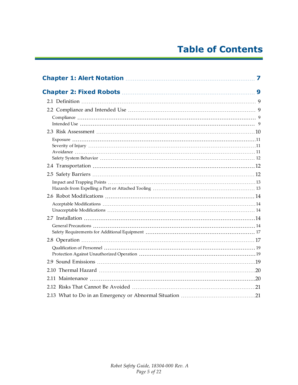### **Table of Contents**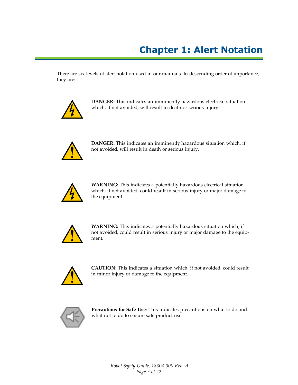## **Chapter 1: Alert Notation**

<span id="page-6-0"></span>There are six levels of alert notation used in our manuals. In descending order of importance, they are:



**DANGER:** This indicates an imminently hazardous electrical situation which, if not avoided, will result in death or serious injury.



**DANGER:** This indicates an imminently hazardous situation which, if not avoided, will result in death or serious injury.



**WARNING:** This indicates a potentially hazardous electrical situation which, if not avoided, could result in serious injury or major damage to the equipment.



**WARNING:** This indicates a potentially hazardous situation which, if not avoided, could result in serious injury or major damage to the equipment.



**CAUTION:** This indicates a situation which, if not avoided, could result in minor injury or damage to the equipment.



**Precautions for Safe Use**: This indicates precautions on what to do and what not to do to ensure safe product use.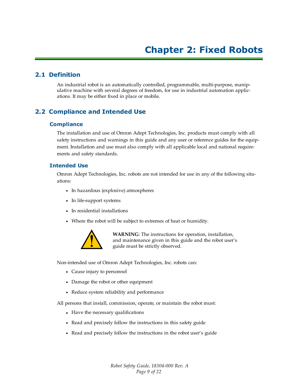#### <span id="page-8-1"></span><span id="page-8-0"></span>**2.1 Definition**

An industrial robot is an automatically controlled, programmable, multi-purpose, manipulative machine with several degrees of freedom, for use in industrial automation applications. It may be either fixed in place or mobile.

#### <span id="page-8-2"></span>**2.2 Compliance and Intended Use**

#### <span id="page-8-3"></span>**Compliance**

The installation and use of Omron Adept Technologies, Inc. products must comply with all safety instructions and warnings in this guide and any user or reference guides for the equipment. Installation and use must also comply with all applicable local and national requirements and safety standards.

#### <span id="page-8-4"></span>**Intended Use**

Omron Adept Technologies, Inc. robots are not intended for use in any of the following situations:

- In hazardous (explosive) atmospheres
- In life-support systems
- In residential installations
- Where the robot will be subject to extremes of heat or humidity.



**WARNING**: The instructions for operation, installation, and maintenance given in this guide and the robot user's guide must be strictly observed.

Non-intended use of Omron Adept Technologies, Inc. robots can:

- Cause injury to personnel
- Damage the robot or other equipment
- Reduce system reliability and performance

All persons that install, commission, operate, or maintain the robot must:

- Have the necessary qualifications
- Read and precisely follow the instructions in this safety guide
- Read and precisely follow the instructions in the robot user's guide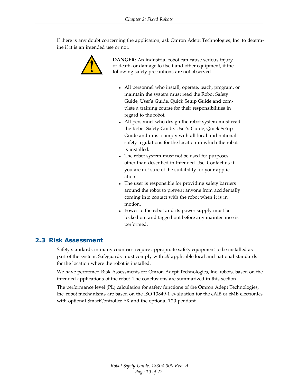If there is any doubt concerning the application, ask Omron Adept Technologies, Inc. to determine if it is an intended use or not.



**DANGER**: An industrial robot can cause serious injury or death, or damage to itself and other equipment, if the following safety precautions are not observed.

- All personnel who install, operate, teach, program, or maintain the system must read the Robot Safety Guide, User's Guide, Quick Setup Guide and complete a training course for their responsibilities in regard to the robot.
- All personnel who design the robot system must read the Robot Safety Guide, User's Guide, Quick Setup Guide and must comply with all local and national safety regulations for the location in which the robot is installed.
- The robot system must not be used for purposes other than described in Intended Use. Contact us if you are not sure of the suitability for your application.
- The user is responsible for providing safety barriers around the robot to prevent anyone from accidentally coming into contact with the robot when it is in motion.
- Power to the robot and its power supply must be locked out and tagged out before any maintenance is performed.

#### <span id="page-9-0"></span>**2.3 Risk Assessment**

Safety standards in many countries require appropriate safety equipment to be installed as part of the system. Safeguards must comply with *all* applicable local and national standards for the location where the robot is installed.

We have performed Risk Assessments for Omron Adept Technologies, Inc. robots, based on the intended applications of the robot. The conclusions are summarized in this section.

The performance level (PL) calculation for safety functions of the Omron Adept Technologies, Inc. robot mechanisms are based on the ISO 13849-1 evaluation for the eAIB or eMB electronics with optional SmartController EX and the optional T20 pendant.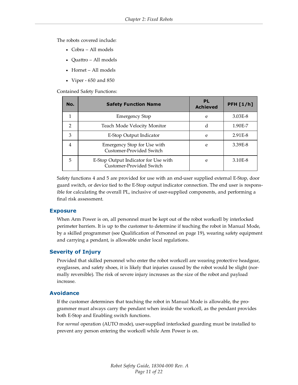The robots covered include:

- Cobra All models
- Quattro All models
- Hornet All models
- Viper  $650$  and  $850$

Contained Safety Functions:

| No.            | <b>Safety Function Name</b>                                      | <b>PL</b><br><b>Achieved</b> | <b>PFH [1/h]</b> |
|----------------|------------------------------------------------------------------|------------------------------|------------------|
|                | <b>Emergency Stop</b>                                            | e                            | 3.03E-8          |
| $\mathcal{P}$  | Teach Mode Velocity Monitor                                      | d                            | 1.90E-7          |
| 3              | E-Stop Output Indicator                                          | e                            | 2.91 E-8         |
| $\overline{4}$ | Emergency Stop for Use with<br>Customer-Provided Switch          | e                            | 3.39E-8          |
| 5              | E-Stop Output Indicator for Use with<br>Customer-Provided Switch | e                            | 3.10E-8          |

Safety functions 4 and 5 are provided for use with an end-user supplied external E-Stop, door guard switch, or device tied to the E-Stop output indicator connection. The end user is responsible for calculating the overall PL, inclusive of user-supplied components, and performing a final risk assessment.

#### <span id="page-10-0"></span>**Exposure**

When Arm Power is on, all personnel must be kept out of the robot workcell by interlocked perimeter barriers. It is up to the customer to determine if teaching the robot in Manual Mode, by a skilled programmer (see [Qualification of Personnel on page 19\)](#page-18-0), wearing safety equipment and carrying a pendant, is allowable under local regulations.

#### <span id="page-10-1"></span>**Severity of Injury**

Provided that skilled personnel who enter the robot workcell are wearing protective headgear, eyeglasses, and safety shoes, it is likely that injuries caused by the robot would be slight (normally reversible). The risk of severe injury increases as the size of the robot and payload increase.

#### <span id="page-10-2"></span>**Avoidance**

If the customer determines that teaching the robot in Manual Mode is allowable, the programmer must always carry the pendant when inside the workcell, as the pendant provides both E-Stop and Enabling switch functions.

For *normal* operation (AUTO mode), user-supplied interlocked guarding must be installed to prevent any person entering the workcell while Arm Power is on.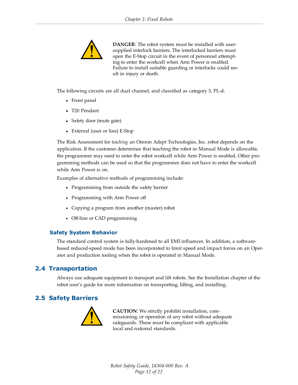

**DANGER**: The robot system must be installed with usersupplied interlock barriers. The interlocked barriers must open the E-Stop circuit in the event of personnel attempting to enter the workcell when Arm Power is enabled. Failure to install suitable guarding or interlocks could result in injury or death.

The following circuits are all dual channel, and classified as category 3, PL-d:

- Front panel
- T20 Pendant
- Safety door (mute gate)
- External (user or line) E-Stop

The Risk Assessment for *teaching* an Omron Adept Technologies, Inc. robot depends on the application. If the customer determines that teaching the robot in Manual Mode is allowable, the programmer may need to enter the robot workcell while Arm Power is enabled. Other programming methods can be used so that the programmer does not have to enter the workcell while Arm Power is on.

Examples of alternative methods of programming include:

- Programming from outside the safety barrier
- Programming with Arm Power off
- Copying a program from another (master) robot
- Off-line or CAD programming

#### <span id="page-11-0"></span>**Safety System Behavior**

The standard control system is fully-hardened to all EMI influences. In addition, a softwarebased reduced-speed mode has been incorporated to limit speed and impact forces on an Operator and production tooling when the robot is operated in Manual Mode.

#### <span id="page-11-1"></span>**2.4 Transportation**

Always use adequate equipment to transport and lift robots. See the Installation chapter of the robot user's guide for more information on transporting, lifting, and installing.

### <span id="page-11-2"></span>**2.5 Safety Barriers**



**CAUTION**: We strictly prohibit installation, commissioning, or operation of any robot without adequate safeguards. These must be compliant with applicable local and national standards.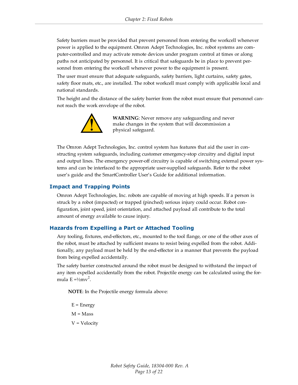Safety barriers must be provided that prevent personnel from entering the workcell whenever power is applied to the equipment. Omron Adept Technologies, Inc. robot systems are computer-controlled and may activate remote devices under program control at times or along paths not anticipated by personnel. It is critical that safeguards be in place to prevent personnel from entering the workcell whenever power to the equipment is present.

The user must ensure that adequate safeguards, safety barriers, light curtains, safety gates, safety floor mats, etc., are installed. The robot workcell must comply with applicable local and national standards.

The height and the distance of the safety barrier from the robot must ensure that personnel cannot reach the work envelope of the robot.



**WARNING**: Never remove any safeguarding and never make changes in the system that will decommission a physical safeguard.

The Omron Adept Technologies, Inc. control system has features that aid the user in constructing system safeguards, including customer emergency-stop circuitry and digital input and output lines. The emergency power-off circuitry is capable of switching external power systems and can be interfaced to the appropriate user-supplied safeguards. Refer to the robot user's guide and the SmartController User's Guide for additional information.

#### <span id="page-12-0"></span>**Impact and Trapping Points**

Omron Adept Technologies, Inc. robots are capable of moving at high speeds. If a person is struck by a robot (impacted) or trapped (pinched) serious injury could occur. Robot configuration, joint speed, joint orientation, and attached payload all contribute to the total amount of energy available to cause injury.

#### <span id="page-12-1"></span>**Hazards from Expelling a Part or Attached Tooling**

Any tooling, fixtures, end-effectors, etc., mounted to the tool flange, or one of the other axes of the robot, must be attached by sufficient means to resist being expelled from the robot. Additionally, any payload must be held by the end-effector in a manner that prevents the payload from being expelled accidentally.

The safety barrier constructed around the robot must be designed to withstand the impact of any item expelled accidentally from the robot. Projectile energy can be calculated using the formula  $E = \frac{1}{2}mv^2$ .

**NOTE**: In the Projectile energy formula above:

 $E =$  Energy  $M = Mass$ 

V = Velocity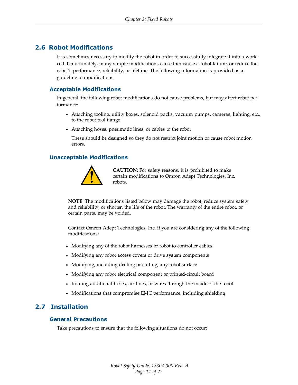#### <span id="page-13-0"></span>**2.6 Robot Modifications**

It is sometimes necessary to modify the robot in order to successfully integrate it into a workcell. Unfortunately, many simple modifications can either cause a robot failure, or reduce the robot's performance, reliability, or lifetime. The following information is provided as a guideline to modifications.

#### <span id="page-13-1"></span>**Acceptable Modifications**

In general, the following robot modifications do not cause problems, but may affect robot performance:

- Attaching tooling, utility boxes, solenoid packs, vacuum pumps, cameras, lighting, etc., to the robot tool flange
- Attaching hoses, pneumatic lines, or cables to the robot

These should be designed so they do not restrict joint motion or cause robot motion errors.

#### <span id="page-13-2"></span>**Unacceptable Modifications**



**CAUTION**: For safety reasons, it is prohibited to make certain modifications to Omron Adept Technologies, Inc. robots.

**NOTE**: The modifications listed below may damage the robot, reduce system safety and reliability, or shorten the life of the robot. The warranty of the entire robot, or certain parts, may be voided.

Contact Omron Adept Technologies, Inc. if you are considering any of the following modifications:

- Modifying any of the robot harnesses or robot-to-controller cables
- Modifying any robot access covers or drive system components
- Modifying, including drilling or cutting, any robot surface
- Modifying any robot electrical component or printed-circuit board
- Routing additional hoses, air lines, or wires through the inside of the robot
- Modifications that compromise EMC performance, including shielding

#### <span id="page-13-3"></span>**2.7 Installation**

#### <span id="page-13-4"></span>**General Precautions**

Take precautions to ensure that the following situations do not occur: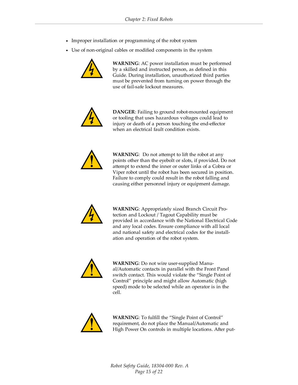- Improper installation or programming of the robot system
- Use of non-original cables or modified components in the system



**WARNING**: AC power installation must be performed by a skilled and instructed person, as defined in this Guide. During installation, unauthorized third parties must be prevented from turning on power through the use of fail-safe lockout measures.



**DANGER**: Failing to ground robot-mounted equipment or tooling that uses hazardous voltages could lead to injury or death of a person touching the end-effector when an electrical fault condition exists.



**WARNING**: Do not attempt to lift the robot at any points other than the eyebolt or slots, if provided. Do not attempt to extend the inner or outer links of a Cobra or Viper robot until the robot has been secured in position. Failure to comply could result in the robot falling and causing either personnel injury or equipment damage.



**WARNING**: Appropriately sized Branch Circuit Protection and Lockout / Tagout Capability must be provided in accordance with the National Electrical Code and any local codes. Ensure compliance with all local and national safety and electrical codes for the installation and operation of the robot system.



**WARNING**: Do not wire user-supplied Manual/Automatic contacts in parallel with the Front Panel switch contact. This would violate the "Single Point of Control" principle and might allow Automatic (high speed) mode to be selected while an operator is in the cell.



**WARNING**: To fulfill the "Single Point of Control" requirement, do not place the Manual/Automatic and High Power On controls in multiple locations. After put-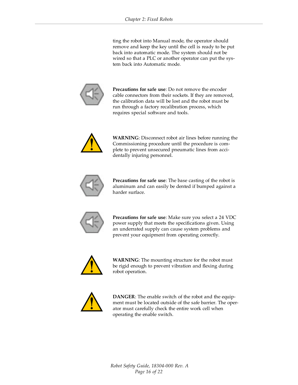ting the robot into Manual mode, the operator should remove and keep the key until the cell is ready to be put back into automatic mode. The system should not be wired so that a PLC or another operator can put the system back into Automatic mode.



**Precautions for safe use**: Do not remove the encoder cable connectors from their sockets. If they are removed, the calibration data will be lost and the robot must be run through a factory recalibration process, which requires special software and tools.



**WARNING**: Disconnect robot air lines before running the Commissioning procedure until the procedure is complete to prevent unsecured pneumatic lines from accidentally injuring personnel.



**Precautions for safe use**: The base casting of the robot is aluminum and can easily be dented if bumped against a harder surface.



**Precautions for safe use**: Make sure you select a 24 VDC power supply that meets the specifications given. Using an underrated supply can cause system problems and prevent your equipment from operating correctly.



**WARNING**: The mounting structure for the robot must be rigid enough to prevent vibration and flexing during robot operation.



**DANGER**: The enable switch of the robot and the equipment must be located outside of the safe barrier. The operator must carefully check the entire work cell when operating the enable switch.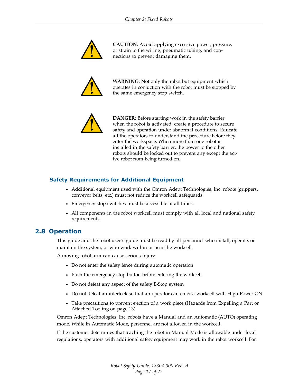

**CAUTION**: Avoid applying excessive power, pressure, or strain to the wiring, pneumatic tubing, and connections to prevent damaging them.



**WARNING**: Not only the robot but equipment which operates in conjuction with the robot must be stopped by the same emergency stop switch.



**DANGER**: Before starting work in the safety barrier when the robot is activated, create a procedure to secure safety and operation under abnormal conditions. Educate all the operators to understand the procedure before they enter the workspace. When more than one robot is installed in the safety barrier, the power to the other robots should be locked out to prevent any except the active robot from being turned on.

#### <span id="page-16-0"></span>**Safety Requirements for Additional Equipment**

- Additional equipment used with the Omron Adept Technologies, Inc. robots (grippers, conveyor belts, etc.) must not reduce the workcell safeguards
- Emergency stop switches must be accessible at all times.
- All components in the robot workcell must comply with all local and national safety requirements

#### <span id="page-16-1"></span>**2.8 Operation**

This guide and the robot user's guide must be read by all personnel who install, operate, or maintain the system, or who work within or near the workcell.

A moving robot arm can cause serious injury.

- Do not enter the safety fence during automatic operation
- Push the emergency stop button before entering the workcell
- Do not defeat any aspect of the safety E-Stop system
- Do not defeat an interlock so that an operator can enter a workcell with High Power ON
- Take precautions to prevent ejection of a work piece [\(Hazards from Expelling a Part or](#page-12-1) [Attached Tooling on page 13\)](#page-12-1)

Omron Adept Technologies, Inc. robots have a Manual and an Automatic (AUTO) operating mode. While in Automatic Mode, personnel are not allowed in the workcell.

If the customer determines that teaching the robot in Manual Mode is allowable under local regulations, operators with additional safety equipment may work in the robot workcell. For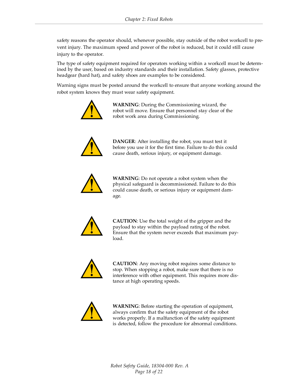safety reasons the operator should, whenever possible, stay outside of the robot workcell to prevent injury. The maximum speed and power of the robot is reduced, but it could still cause injury to the operator.

The type of safety equipment required for operators working within a workcell must be determined by the user, based on industry standards and their installation. Safety glasses, protective headgear (hard hat), and safety shoes are examples to be considered.

Warning signs must be posted around the workcell to ensure that anyone working around the robot system knows they must wear safety equipment.



**WARNING**: During the Commissioning wizard, the robot will move. Ensure that personnel stay clear of the robot work area during Commissioning.



**DANGER**: After installing the robot, you must test it before you use it for the first time. Failure to do this could cause death, serious injury, or equipment damage.



**WARNING**: Do not operate a robot system when the physical safeguard is decommissioned. Failure to do this could cause death, or serious injury or equipment damage.



**CAUTION**: Use the total weight of the gripper and the payload to stay within the payload rating of the robot. Ensure that the system never exceeds that maximum payload.



**CAUTION**: Any moving robot requires some distance to stop. When stopping a robot, make sure that there is no interference with other equipment. This requires more distance at high operating speeds.



**WARNING**: Before starting the operation of equipment, always confirm that the safety equipment of the robot works properly. If a malfunction of the safety equipment is detected, follow the procedure for abnormal conditions.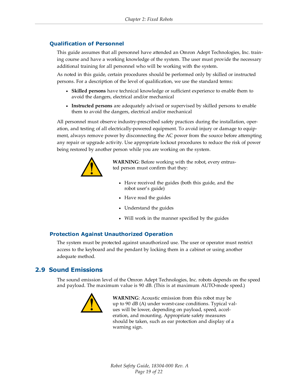#### <span id="page-18-0"></span>**Qualification of Personnel**

This guide assumes that all personnel have attended an Omron Adept Technologies, Inc. training course and have a working knowledge of the system. The user must provide the necessary additional training for all personnel who will be working with the system.

As noted in this guide, certain procedures should be performed only by skilled or instructed persons. For a description of the level of qualification, we use the standard terms:

- **Skilled persons** have technical knowledge or sufficient experience to enable them to avoid the dangers, electrical and/or mechanical
- **Instructed persons** are adequately advised or supervised by skilled persons to enable them to avoid the dangers, electrical and/or mechanical

All personnel must observe industry-prescribed safety practices during the installation, operation, and testing of all electrically-powered equipment. To avoid injury or damage to equipment, always remove power by disconnecting the AC power from the source before attempting any repair or upgrade activity. Use appropriate lockout procedures to reduce the risk of power being restored by another person while you are working on the system.



**WARNING**: Before working with the robot, every entrusted person must confirm that they:

- Have received the guides (both this guide, and the robot user's guide)
- Have read the guides
- Understand the guides
- Will work in the manner specified by the guides

#### <span id="page-18-1"></span>**Protection Against Unauthorized Operation**

The system must be protected against unauthorized use. The user or operator must restrict access to the keyboard and the pendant by locking them in a cabinet or using another adequate method.

#### <span id="page-18-2"></span>**2.9 Sound Emissions**

The sound emission level of the Omron Adept Technologies, Inc. robots depends on the speed and payload. The maximum value is 90 dB. (This is at maximum AUTO-mode speed.)



**WARNING**: Acoustic emission from this robot may be up to 90 dB (A) under worst-case conditions. Typical values will be lower, depending on payload, speed, acceleration, and mounting. Appropriate safety measures should be taken, such as ear protection and display of a warning sign.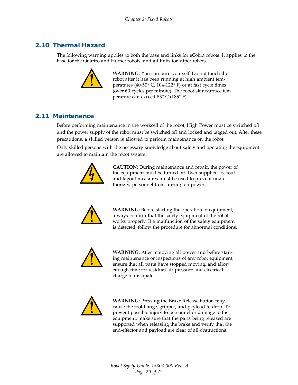### <span id="page-19-0"></span>**2.10 Thermal Hazard**

The following warning applies to both the base and links for eCobra robots. It applies to the base for the Quattro and Hornet robots, and all links for Viper robots.



**WARNING**: You can burn yourself. Do not touch the robot after it has been running at high ambient temperatures (40-50° C, 104-122° F) or at fast cycle times (over 60 cycles per minute). The robot skin/surface temperature can exceed 85° C (185° F).

#### <span id="page-19-1"></span>**2.11 Maintenance**

Before performing maintenance in the workcell of the robot, High Power must be switched off and the power supply of the robot must be switched off and locked and tagged out. After these precautions, a skilled person is allowed to perform maintenance on the robot.

Only skilled persons with the necessary knowledge about safety and operating the equipment are allowed to maintain the robot system.



**CAUTION**: During maintenance and repair, the power of the equipment must be turned off. User-supplied lockout and tagout measures must be used to prevent unauthorized personnel from turning on power.



**WARNING**: Before starting the operation of equipment, always confirm that the safety equipment of the robot works properly. If a malfunction of the safety equipment is detected, follow the procedure for abnormal conditions.



**WARNING**: After removing all power and before starting maintenance or inspections of any robot equipment, ensure that all parts have stopped moving, and allow enough time for residual air pressure and electrical charge to dissipate.



**WARNING**: Pressing the Brake Release button may cause the tool flange, gripper, and payload to drop. To prevent possible injury to personnel or damage to the equipment, make sure that the parts being released are supported when releasing the brake and verify that the end-effector and payload are clear of all obstructions.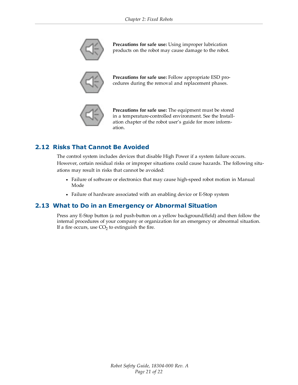

**Precautions for safe use:** Using improper lubrication products on the robot may cause damage to the robot.



**Precautions for safe use:** Follow appropriate ESD procedures during the removal and replacement phases.



**Precautions for safe use:** The equipment must be stored in a temperature-controlled environment. See the Installation chapter of the robot user's guide for more information.

### <span id="page-20-0"></span>**2.12 Risks That Cannot Be Avoided**

The control system includes devices that disable High Power if a system failure occurs. However, certain residual risks or improper situations could cause hazards. The following situations may result in risks that cannot be avoided:

- <sup>l</sup> Failure of software or electronics that may cause high-speed robot motion in Manual Mode
- Failure of hardware associated with an enabling device or E-Stop system

#### <span id="page-20-1"></span>**2.13 What to Do in an Emergency or Abnormal Situation**

Press any E-Stop button (a red push-button on a yellow background/field) and then follow the internal procedures of your company or organization for an emergency or abnormal situation. If a fire occurs, use  $CO<sub>2</sub>$  to extinguish the fire.